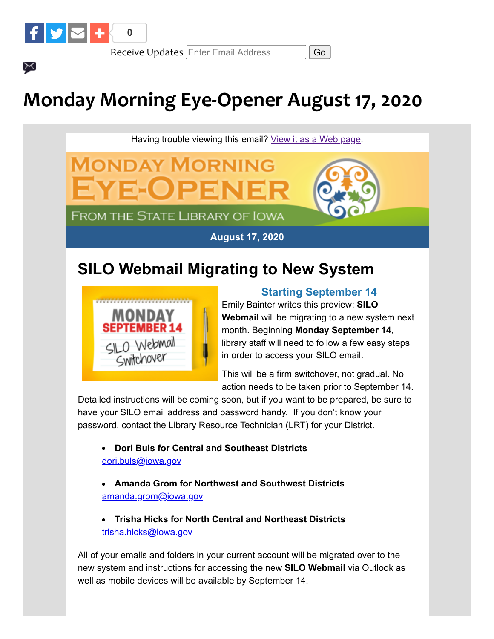

 $\times$ 

Receive Updates Enter Email Address || Go

# **Monday Morning Eye-Opener August 17, 2020**

Having trouble viewing this email? [View it as a Web page.](https://content.govdelivery.com/accounts/IACIO/bulletins/29a8f35)



**FROM THE STATE LIBRARY OF IOWA** 

### **August 17, 2020**

## **SILO Webmail Migrating to New System**



### **Starting September 14**

Emily Bainter writes this preview: **SILO Webmail** will be migrating to a new system next month. Beginning **Monday September 14**, library staff will need to follow a few easy steps in order to access your SILO email.

This will be a firm switchover, not gradual. No action needs to be taken prior to September 14.

Detailed instructions will be coming soon, but if you want to be prepared, be sure to have your SILO email address and password handy. If you don't know your password, contact the Library Resource Technician (LRT) for your District.

**Dori Buls for Central and Southeast Districts** [dori.buls@iowa.gov](mailto:dori.buls@iowa.gov)

- **Amanda Grom for Northwest and Southwest Districts**  [amanda.grom@iowa.gov](mailto:amanda.grom@iowa.gov)
- **Trisha Hicks for North Central and Northeast Districts** [trisha.hicks@iowa.gov](mailto:trisha.hicks@iowa.gov)

All of your emails and folders in your current account will be migrated over to the new system and instructions for accessing the new **SILO Webmail** via Outlook as well as mobile devices will be available by September 14.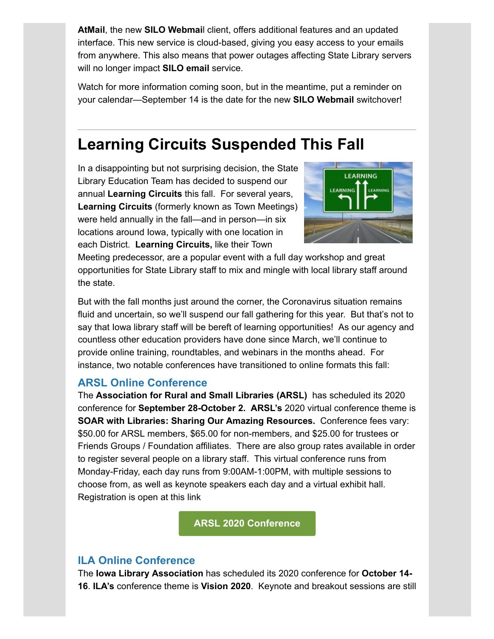**AtMail**, the new **SILO Webmai**l client, offers additional features and an updated interface. This new service is cloud-based, giving you easy access to your emails from anywhere. This also means that power outages affecting State Library servers will no longer impact **SILO email** service.

Watch for more information coming soon, but in the meantime, put a reminder on your calendar—September 14 is the date for the new **SILO Webmail** switchover!

## **Learning Circuits Suspended This Fall**

In a disappointing but not surprising decision, the State Library Education Team has decided to suspend our annual **Learning Circuits** this fall. For several years, **Learning Circuits** (formerly known as Town Meetings) were held annually in the fall—and in person—in six locations around Iowa, typically with one location in each District. **Learning Circuits,** like their Town



Meeting predecessor, are a popular event with a full day workshop and great opportunities for State Library staff to mix and mingle with local library staff around the state.

But with the fall months just around the corner, the Coronavirus situation remains fluid and uncertain, so we'll suspend our fall gathering for this year. But that's not to say that Iowa library staff will be bereft of learning opportunities! As our agency and countless other education providers have done since March, we'll continue to provide online training, roundtables, and webinars in the months ahead. For instance, two notable conferences have transitioned to online formats this fall:

### **ARSL Online Conference**

The **Association for Rural and Small Libraries (ARSL)** has scheduled its 2020 conference for **September 28-October 2. ARSL's** 2020 virtual conference theme is **SOAR with Libraries: Sharing Our Amazing Resources.** Conference fees vary: \$50.00 for ARSL members, \$65.00 for non-members, and \$25.00 for trustees or Friends Groups / Foundation affiliates. There are also group rates available in order to register several people on a library staff. This virtual conference runs from Monday-Friday, each day runs from 9:00AM-1:00PM, with multiple sessions to choose from, as well as keynote speakers each day and a virtual exhibit hall. Registration is open at this link

**[ARSL 2020 Conference](https://www.arsl.org/2020-conference-main-page?utm_medium=email&utm_source=govdelivery)**

### **ILA Online Conference**

The **Iowa Library Association** has scheduled its 2020 conference for **October 14- 16**. **ILA's** conference theme is **Vision 2020**. Keynote and breakout sessions are still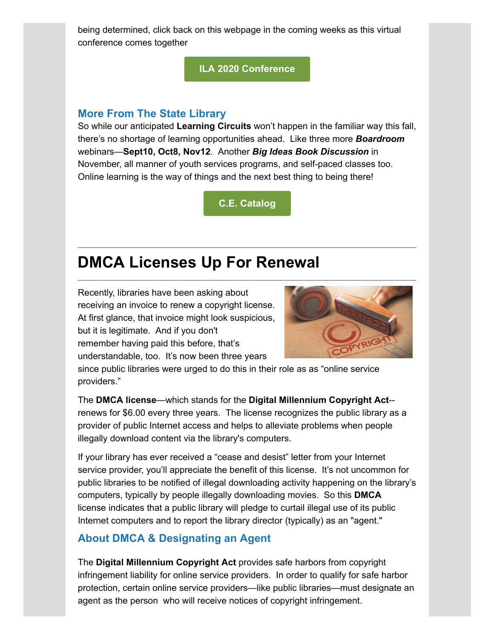being determined, click back on this webpage in the coming weeks as this virtual conference comes together

**[ILA 2020 Conference](https://www.iowalibraryassociation.org/index.php/conference?utm_medium=email&utm_source=govdelivery)**

#### **More From The State Library**

So while our anticipated **Learning Circuits** won't happen in the familiar way this fall, there's no shortage of learning opportunities ahead. Like three more *Boardroom* webinars—**Sept10, Oct8, Nov12**. Another *Big Ideas Book Discussion* in November, all manner of youth services programs, and self-paced classes too. Online learning is the way of things and the next best thing to being there!

**[C.E. Catalog](https://statelibraryofiowa.lmscheckout.com/Course/index?utm_medium=email&utm_source=govdelivery)**

### **DMCA Licenses Up For Renewal**

Recently, libraries have been asking about receiving an invoice to renew a copyright license. At first glance, that invoice might look suspicious, but it is legitimate. And if you don't remember having paid this before, that's understandable, too. It's now been three years



since public libraries were urged to do this in their role as as "online service providers."

The **DMCA license**—which stands for the **Digital Millennium Copyright Act**- renews for \$6.00 every three years. The license recognizes the public library as a provider of public Internet access and helps to alleviate problems when people illegally download content via the library's computers.

If your library has ever received a "cease and desist" letter from your Internet service provider, you'll appreciate the benefit of this license. It's not uncommon for public libraries to be notified of illegal downloading activity happening on the library's computers, typically by people illegally downloading movies. So this **DMCA** license indicates that a public library will pledge to curtail illegal use of its public Internet computers and to report the library director (typically) as an "agent."

### **About DMCA & Designating an Agent**

The **Digital Millennium Copyright Act** provides safe harbors from copyright infringement liability for online service providers. In order to qualify for safe harbor protection, certain online service providers—like public libraries—must designate an agent as the person who will receive notices of copyright infringement.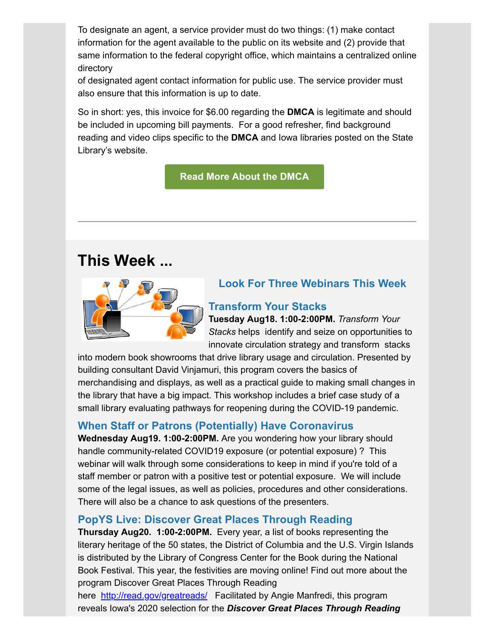To designate an agent, a service provider must do two things: (1) make contact information for the agent available to the public on its website and (2) provide that same information to the federal copyright office, which maintains a centralized online directory

of designated agent contact information for public use. The service provider must also ensure that this information is up to date.

So in short: yes, this invoice for \$6.00 regarding the **DMCA** is legitimate and should be included in upcoming bill payments. For a good refresher, find background reading and video clips specific to the **DMCA** and Iowa libraries posted on the State Library's website.

### **[Read More About the DMCA](https://www.statelibraryofiowa.org/ld/c-d/dmca?utm_medium=email&utm_source=govdelivery)**

### **This Week ...**



### **Look For Three Webinars This Week**

### **Transform Your Stacks**

**Tuesday Aug18. 1:00-2:00PM.** *Transform Your Stacks* helps identify and seize on opportunities to innovate circulation strategy and transform stacks

into modern book showrooms that drive library usage and circulation. Presented by building consultant David Vinjamuri, this program covers the basics of merchandising and displays, as well as a practical guide to making small changes in the library that have a big impact. This workshop includes a brief case study of a small library evaluating pathways for reopening during the COVID-19 pandemic.

### **When Staff or Patrons (Potentially) Have Coronavirus**

**Wednesday Aug19. 1:00-2:00PM.** Are you wondering how your library should handle community-related COVID19 exposure (or potential exposure) ? This webinar will walk through some considerations to keep in mind if you're told of a staff member or patron with a positive test or potential exposure. We will include some of the legal issues, as well as policies, procedures and other considerations. There will also be a chance to ask questions of the presenters.

### **PopYS Live: Discover Great Places Through Reading**

**Thursday Aug20. 1:00-2:00PM.** Every year, a list of books representing the literary heritage of the 50 states, the District of Columbia and the U.S. Virgin Islands is distributed by the Library of Congress Center for the Book during the National Book Festival. This year, the festivities are moving online! Find out more about the program Discover Great Places Through Reading

here [http://read.gov/greatreads/](http://read.gov/greatreads/?utm_medium=email&utm_source=govdelivery) Facilitated by Angie Manfredi, this program reveals Iowa's 2020 selection for the *Discover Great Places Through Reading*